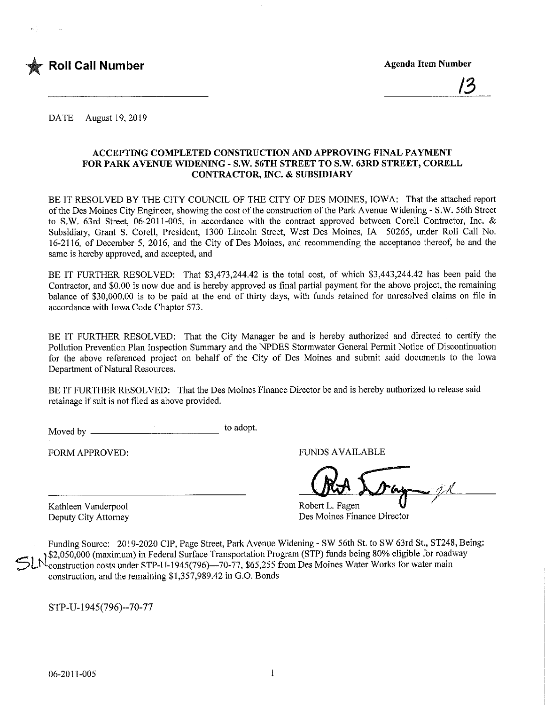

DATE August 19, 2019

#### ACCEPTING COMPLETED CONSTRUCTION AND APPROVING FINAL PAYMENT FOR PARK AVENUE WIDENING - S.W. 56TH STREET TO S.W. 63RD STREET, CORELL CONTRACTOR, INC. & SUBSIDIARY

BE IT RESOLVED BY THE CITY COUNCIL OF THE CITY OF DES MOINES, IOWA: That the attached report of the Des Moines City Engineer, showing the cost of the construction of the Park Avenue Widening - S.W. 56th Street to S.W. 63rd Street, 06-2011-005, in accordance with the contract approved between Corell Contractor, Inc. & Subsidiary, Grant S. Corell, President, 1300 Lincoln Street, West Des Moines, IA 50265, under Roll Call No. 16-2116, of December 5, 2016, and the City of Des Moines, and recommending the acceptance thereof, be and the same is hereby approved, and accepted, and

BE IT FURTHER RESOLVED: That \$3,473,244.42 is the total cost, of which \$3,443,244.42 has been paid the Contractor, and \$0.00 is now due and is hereby approved as final partial payment for the above project, the remaining balance of \$30,000.00 is to be paid at the end of thirty days, with funds retained for unresolved claims on file in accordance with Iowa Code Chapter 573.

BE IT FURTHER RESOLVED: That the City Manager be and is hereby authorized and directed to certify the Pollution Prevention Plan Inspection Summary and the NPDES Stormwater General Permit Notice of Discontinuation for the above referenced project on behalf of the City of Des Moines and submit said documents to the Iowa Department of Natural Resources.

BE IT FURTHER RESOLVED: That the Des Molnes Finance Director be and is hereby authorized to release said retainage if suit is not filed as above provided.

Moved by \_ to adopt.

FORM APPROVED: THE RESERVED FUNDS AVAILABLE

Kathleen Vanderpool Robert L. Fagen<br>
Robert L. Fagen<br>
Des Moines Finz Des Moines Finance Director

Funding Source: 2019-2020 CIP, Page Street, Park Avenue Widening - SW 56th St. to SW 63rd St., ST248, Being: \$2,050,000 (maximum) in Federal Surface Transportation Program (STP) funds being 80% eligible for roadway construction costs under STP-U-1945(796)—70-77, \$65,255 from Des Moines Water Works for water main construction, and the remaining \$1,357,989.42 in G.O. Bonds

STP-U-I945(796)-70-77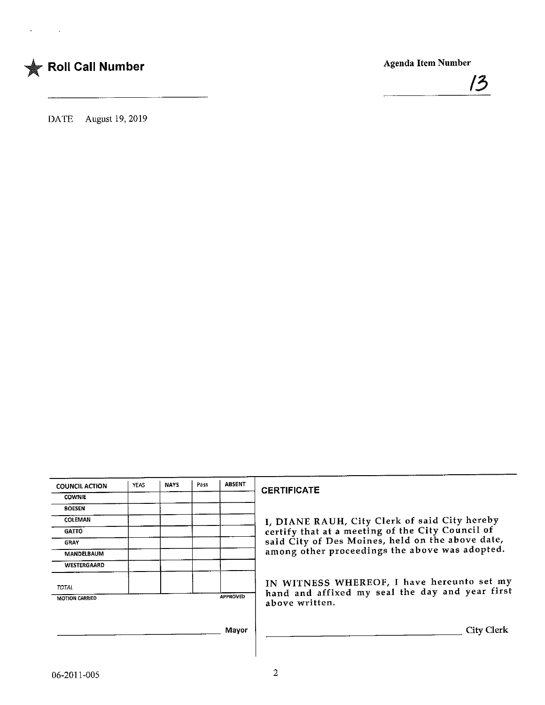



DATE August 19, 2019

| <b>COUNCIL ACTION</b> | YEAS | <b>NAYS</b> | Pass | <b>ABSENT</b>   |
|-----------------------|------|-------------|------|-----------------|
| <b>COWNIE</b>         |      |             |      |                 |
| <b>BOESEN</b>         |      |             |      |                 |
| <b>COLEMAN</b>        |      |             |      |                 |
| <b>GATTO</b>          |      |             |      |                 |
| <b>GRAY</b>           |      |             |      |                 |
| <b>MANDELBAUM</b>     |      |             |      |                 |
| WESTERGAARD           |      |             |      |                 |
| <b>TOTAL</b>          |      |             |      |                 |
|                       |      |             |      | <b>APPROVED</b> |

## **CERTIFICATE**

I/ DIANE RAUH, City Clerk of said City hereby certify that at a meeting of the City Council of said City of Des Moines, held on the above date, among other proceedings the above was adopted,

IN WITNESS WHEREOF, I have nereunto set my hand and affixed my seal the day and year first above written.

 $\overline{\phantom{a}}$ 

City Clerk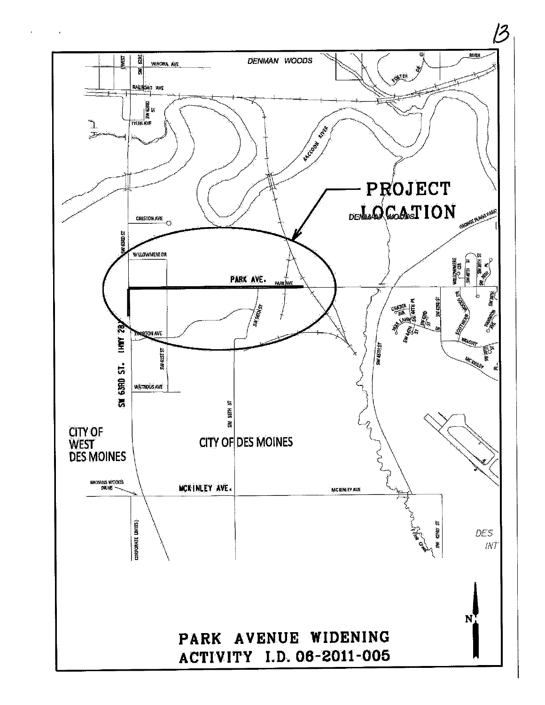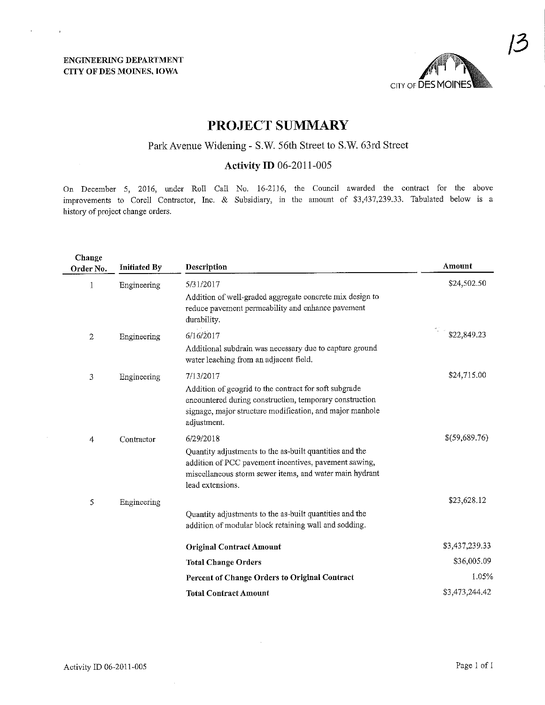$\bar{z}$ 



## PROJECT SUMMARY

# ParkAvenue Widening - S.W. 56th Street to S.W. 63rd Street

### Activity ID 06-2011-005

On December 5, 2016, under Roll Call No. 16-2116, the Council awarded the contract for the above improvements to Corcll Contractor, Inc. & Subsidiary, in the amount of \$3,437,239.33. Tabulated below is a history of project change orders.

| Change<br>Order No. | <b>Initiated By</b> | Description                                                                                                                                                                                     | Amount         |
|---------------------|---------------------|-------------------------------------------------------------------------------------------------------------------------------------------------------------------------------------------------|----------------|
| 1                   | Engineering         | 5/31/2017                                                                                                                                                                                       | \$24,502.50    |
|                     |                     | Addition of well-graded aggregate concrete mix design to<br>reduce pavement permeability and enhance pavement<br>durability.                                                                    |                |
| 2                   | Engineering         | 6/16/2017                                                                                                                                                                                       | \$22,849.23    |
|                     |                     | Additional subdrain was necessary due to capture ground<br>water leaching from an adjacent field.                                                                                               |                |
| 3                   | Engineering         | 7/13/2017                                                                                                                                                                                       | \$24,715.00    |
|                     |                     | Addition of geogrid to the contract for soft subgrade<br>encountered during construction, temporary construction<br>signage, major structure modification, and major manhole<br>adjustment.     |                |
| 4                   | Contractor          | 6/29/2018                                                                                                                                                                                       | \$(59,689.76)  |
|                     |                     | Quantity adjustments to the as-built quantities and the<br>addition of PCC pavement incentives, pavement sawing,<br>miscellaneous storm sewer items, and water main hydrant<br>lead extensions. |                |
| 5                   | Engineering         |                                                                                                                                                                                                 | \$23,628.12    |
|                     |                     | Quantity adjustments to the as-built quantities and the<br>addition of modular block retaining wall and sodding.                                                                                |                |
|                     |                     | <b>Original Contract Amount</b>                                                                                                                                                                 | \$3,437,239.33 |
|                     |                     | <b>Total Change Orders</b>                                                                                                                                                                      | \$36,005.09    |
|                     |                     | Percent of Change Orders to Original Contract                                                                                                                                                   | 1.05%          |
|                     |                     | <b>Total Contract Amount</b>                                                                                                                                                                    | \$3,473,244.42 |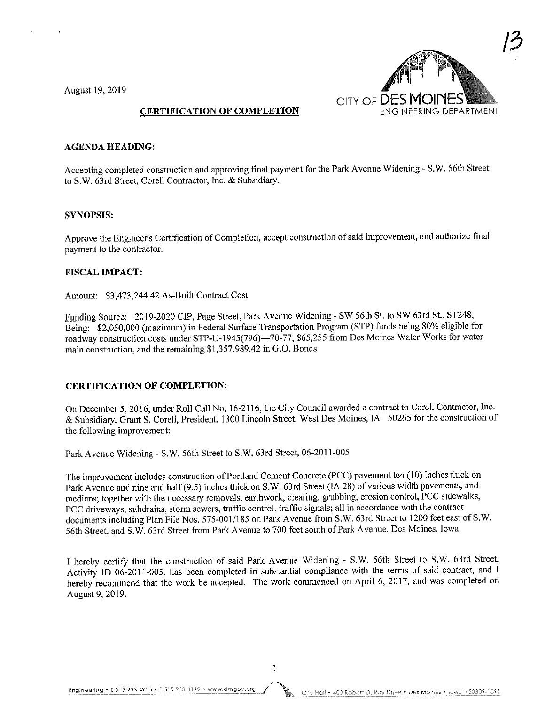August 19, 2019



## CERTIFICATION OF COMPLETION

#### **AGENDA HEADING:**

Accepting completed construction and approving final payment for the Park Avenue Widening - S.W. 56th Street to S.W. 63rd Street, Corell Contractor, Inc. & Subsidiary.

#### SYNOPSIS:

Approve the Engineer's Certification of Completion, accept construction of said improvement, and authorize final payment to the contractor.

#### FISCAL IMPACT:

Amount: \$3,473,244.42 As-Built Contract Cost

Funding Source: 2019-2020 CIP, Page Street, Park Avenue Widening - SW 56th St. to SW 63rd St, ST248, Being: \$2,050,000 (maximum) in Federal Surface Transportation Program (STP) funds being 80% eligible for roadway construction costs under STP-U-1945(796)—70-77, \$65,255 from Des Moines Water Works for water main construction, and the remaining \$1,357,989.42 in G.O. Bonds

#### CERTIFICATION OF COMPLETION:

On December 5,2016, under Roll Call No. 16-2116, the City Council awarded a contract to Corell Contractor, Inc. & Subsidiary, Grant S. Corell, President, 1300 Lincoln Street, West Des Moines, IA 50265 for the construction of the following improvement;

Park Avenue Widening - S.W. 56th Street to S.W. 63rd Street, 06-2011-005

The improvement includes construction of Portland Cement Concrete (PCC) pavement ten (10) inches thick on Park Avenue and nine and half (9.5) inches thick on S.W. 63rd Street (IA 28) of various width pavements, and medians; together with the necessary removals, earthwork, clearing, grubbing, erosion control, PCC sidewalks, PCC driveways, subdrains, storm sewers, traffic control, traffic signals; all in accordance with the contract documents including Plan File Nos. 575-001/185 on Park Avenue from S.W. 63rd Street to 1200 feet east of S.W. 56th Street, and S.W. 63rd Street from Park Avenue to 700 feet south of Park Avenue, Des Moines, Iowa

I hereby certify that the construction of said Park Avenue Widening - S.W. 56th Street to S.W. 63rd Street, Activity ID 06-2011-005, has been completed in substantial compliance with the terms of said contract, and I hereby recommend that the work be accepted. The work commenced on April 6, 2017, and was completed on August 9, 2019.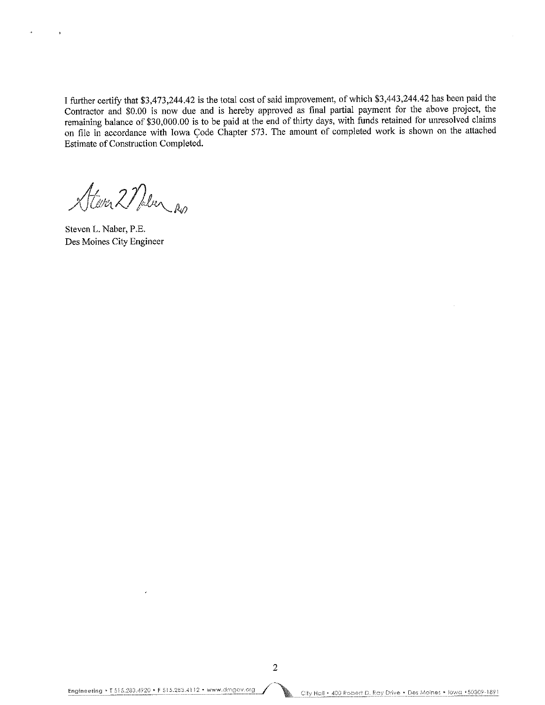I further certify that \$3,473,244.42 is the total cost of said improvement, of which \$3,443,244.42 has been paid the Contractor and \$0.00 is now due and is hereby approved as final partial payment for the above project, the remaining balance of \$30,000.00 is to be paid at the end of thirty days, with funds retained for unresolved claims on file in accordance with Iowa Code Chapter 573. The amount of completed work is shown on the attached Estimate of Construction Completed.

Atever 2 Nalen Ro

Steven L. Naber, P.E. Des Moines City Engineer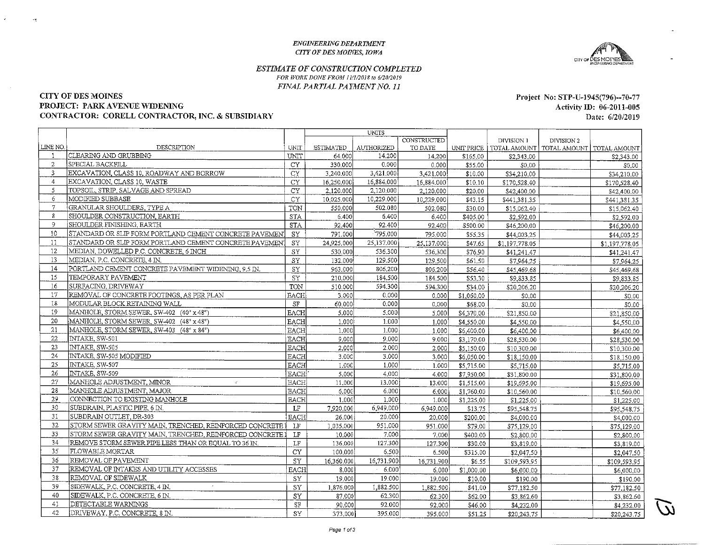#### ENGINEERING DEPARTMENT CITY OFDES MOINES, IOWA



#### ESTIMATE OF CONSTRUCTION COMPLETEDFOR WORK DONE FROM 11/1/2018 to 6/20/2019 FINAL PARTIAL PAYMENT NO. 11

#### CITY OF DES MOINES

 $\mathcal{A}$ 

#### PROJECT: PARK AVENUE WIDENING

#### CONTRACTOR: CORELL CONTRACTOR, INC. & SUBSIDIARY

Project No: STP-U-1945(796)-70-77 Activity ID: 06-2011-005Date: 6/20/2019

|                |                                                           |             |                  | UNITS      |             |            |                |                             |                |
|----------------|-----------------------------------------------------------|-------------|------------------|------------|-------------|------------|----------------|-----------------------------|----------------|
|                |                                                           |             |                  |            | CONSTRUCTED |            | DIVISION 1     | DIVISION 2                  |                |
| LINE NO.       | DESCRIPTION                                               | UNIT        | <b>ESTIMATED</b> | AUTHORIZED | TO DATE     | UNIT PRICE |                | TOTAL AMOUNT   TOTAL AMOUNT | TOTAL AMOUNT   |
|                | CLEARING AND GRUBBING                                     | UNIT        | 64.000           | 14.200     | 14,200      | \$165.00   | \$2,343.00     |                             | \$2,343.00     |
| 2              | SPECIAL BACKFILL                                          | CY.         | 330.000          | 0.000      | 0.000       | \$55.00    | \$0.00         |                             | \$0.00         |
| 3              | EXCAVATION, CLASS 10, ROADWAY AND BORROW                  | <b>CY</b>   | 3,240.000        | 3,421,000  | 3.421.000   | \$10.00    | \$34,210.00    |                             | \$34,210.00    |
| $\overline{4}$ | EXCAVATION, CLASS 10, WASTE                               | <b>CY</b>   | 16,250,000       | 16,884,000 | 16,884.000  | \$10.10    | \$170,528.40   |                             | \$170,528.40   |
| 5              | TOPSOIL, STRIP, SALVAGE AND SPREAD                        | CY.         | 2.120.000        | 2,120,000  | 2,120,000   | \$20.00    | \$42,400.00    |                             | \$42,400.00    |
| 6              | MODIFIED SUBBASE                                          | CY.         | 10,025.000       | 10,229.000 | 10,229.000  | \$43.15    | \$441,381.35   |                             | \$441,381.35   |
| $\overline{7}$ | GRANULAR SHOULDERS, TYPE A                                | TON         | 550,000          | 502.080    | 502.080     | \$30.00    | \$15,062.40    |                             | \$15,062.40    |
| 8              | SHOULDER CONSTRUCTION, EARTH                              | <b>STA</b>  | 6.400            | 6.400      | 6.400       | \$405.00   | \$2,592.00     |                             | \$2,592.00     |
| -9             | SHOULDER FINISHING, EARTH                                 | <b>STA</b>  | 92,400           | 92.400     | 92.400      | \$500.00   | \$46,200,00    |                             | \$46,200.00    |
| 10             | STANDARD OR SLIP FORM PORTLAND CEMENT CONCRETE PAVEMENT   | <b>SY</b>   | 791.000          | 795.000    | 795.000     | \$55.35    | \$44,003.25    |                             | \$44,003.25    |
| 11             | STANDARD OR SLIP FORM PORTLAND CEMENT CONCRETE PAVEMENT   | <b>SY</b>   | 24.925.000       | 25,137,000 | 25,137,000  | \$47.65    | \$1,197,778.05 |                             | \$1,197,778.05 |
| 12             | MEDIAN, DOWELLED P.C. CONCRETE, 6 INCH                    | SY          | 530.000          | 536.300    | 536.300     | \$76.90    | \$41,241.47    |                             | \$41,241.47    |
| 13             | MEDIAN, P.C. CONCRETE, 4 IN.                              | SY          | 132.000          | 129.500    | 129.500     | \$61.50    | \$7,964.25     |                             | \$7,964.25     |
| 14             | PORTLAND CEMENT CONCRETE PAVEMENT WIDENING, 9.5 IN.       | SY          | 963.000          | 806,200    | 806.200     | \$56.40    | \$45,469.68    |                             | \$45,469.68    |
| 15             | TEMPORARY PAVEMENT                                        | SY          | 210,000          | 184.500    | 184.500     | \$53.30    | \$9,833.85     |                             | \$9,833.85     |
| 16             | SURFACING, DRIVEWAY                                       | <b>TON</b>  | 510.000          | 594.300    | 594,300     | \$34.00    | \$20,206.20    |                             | \$20,206.20    |
| 17             | REMOVAL OF CONCRETE FOOTINGS, AS PER PLAN                 | EACH        | 3,000            | 0.000      | 0.000       | \$1,060.00 | \$0.00         |                             | \$0.00         |
| 18             | MODULAR BLOCK RETAINING WALL                              | SF          | 60.000           | 0.000      | 0,000       | \$68.00    | \$0.00         |                             | \$0.00         |
| 19             | MANHOLE, STORM SEWER, SW-402 (40" x 48")                  | <b>EACH</b> | 5.000            | 5.000      | 5.000       | \$4,370.00 | \$21,850.00    |                             | \$21,850.00    |
| 20             | MANHOLE, STORM SEWER, SW-402 (48" x 48")                  | <b>EACH</b> | 1.000            | 1.000      | 1.000       | \$4,550.00 | \$4,550.00     |                             | \$4,550.00     |
| 21             | MANHOLE, STORM SEWER, SW-403 (48" x 84")                  | <b>EACH</b> | 1.000            | 1,000      | 1.000       | \$6,400.00 | \$6,400.00     |                             | \$6,400,00     |
| 22             | INTAKE, SW-501                                            | <b>EACH</b> | 9.000            | 9.000      | 9.000       | \$3,170.00 | \$28,530.00    |                             | \$28,530.00    |
| 23             | <b>INTAKE, SW-505</b>                                     | EACH        | 2.000            | 2.000      | 2.000       | \$5,150.00 | \$10,300.00    |                             | \$10,300.00    |
| 24             | INTAKE, SW-505 MODIFIED                                   | <b>EACH</b> | 3.000            | 3.000      | 3.000       | \$6,050.00 | \$18,150.00    |                             | \$18,150.00    |
| 25             | INTAKE, SW-507                                            | EACH        | 1.000            | 1.000      | 1.000       | \$5,715.00 | \$5,715.00     |                             | \$5,715.00     |
| 26             | INTAKE, SW-509                                            | <b>EACH</b> | 5,000            | 4,000      | 4.000       | \$7,950.00 | \$31,800.00    |                             | \$31,800.00    |
| 27             | MANHOLE ADJUSTMENT, MINOR<br>$\mathcal{L}$                | <b>EACH</b> | 11.000           | 13,000     | 13.000      | \$1,515.00 | \$19,695.00    |                             | \$19,695.00    |
| 28             | MANHOLE ADJUSTMENT, MAJOR                                 | EACH        | 6.000            | 6.000      | 6.000       | \$1,760.00 | \$10,560,00    |                             | \$10,560.00    |
| 29             | CONNECTION TO EXISTING MANHOLE                            | <b>EACH</b> | 1.000            | 1.000      | 1.000       | \$1,225.00 | \$1,225.00     |                             | \$1,225.00     |
| 30             | SUBDRAIN, PLASTIC PIPE, 6 IN.                             | LF          | 7,920,000        | 6,949,000  | 6,949,000   | \$13.75    | \$95,548.75    |                             | \$95,548.75    |
| 31             | SUBDRAIN OUTLET, DR-303                                   | <b>EACH</b> | 26.000           | 20.000     | 20,000      | \$200.00   | \$4,000,00     |                             | \$4,000.00     |
| 32             | STORM SEWER GRAVITY MAIN, TRENCHED, REINFORCED CONCRETE I | LF          | 1,035,000        | 951.000    | 951.000     | \$79.00    | \$75,129.00    |                             | \$75,129.00    |
| 33             | STORM SEWER GRAVITY MAIN, TRENCHED, REINFORCED CONCRETE I | LF          | 10.000           | 7.000      | 7.000       | \$400.00   | \$2,800.00     |                             | \$2,800.00     |
| 34             | REMOVE STORM SEWER PIPE LESS THAN OR EQUAL TO 36 IN.      | $\rm LF$    | 136,000          | 127.300    | 127.300     | \$30.00    | \$3,819.00     |                             | \$3,819.00     |
| 35             | <b>FLOWABLE MORTAR</b>                                    | <b>CY</b>   | 100,000          | 6.500      | 6.500       | \$315.00   | \$2,047.50     |                             | \$2,047.50     |
| 36             | REMOVAL OF PAVEMENT                                       | SY          | 16.360.000       | 16,731,900 | 16.731.900  | \$6.55     | \$109,593.95   |                             | \$109,593.95   |
| 37             | REMOVAL OF INTAKES AND UTILITY ACCESSES                   | EACH        | 8.000            | 6.000      | 6.000       | \$1,000.00 | \$6,000.00     |                             | \$6,000.00     |
| 38             | REMOVAL OF SIDEWALK                                       | SY          | 19.000           | 19.000     | 19.000      | \$10.00    | \$190.00       |                             | \$190.00       |
| 39             | SIDEWALK, P.C. CONCRETE, 4 IN.                            | SY          | 1,876,000        | 1,882.500  | 1,882.500   | \$41.00    | \$77,182.50    |                             | \$77,182.50    |
| 40             | SIDEWALK, P.C. CONCRETE, 6 IN.                            | SY          | 87.000           | 62,300     | 62.300      | \$62.00    | \$3,862.60     |                             | \$3,862.60     |
| 41             | DETECTABLE WARNINGS                                       | SF          | 90,000           | 92.000     | 92.000      | \$46.00    | \$4,232.00     |                             | \$4,232.00     |
| 42             | DRIVEWAY, P.C. CONCRETE, 8 IN.                            | ${\rm SY}$  | 373,000          | 395,000    | 395,000     | \$51.25    | \$20,243.75    |                             | \$20,243.75    |
|                |                                                           |             |                  |            |             |            |                |                             |                |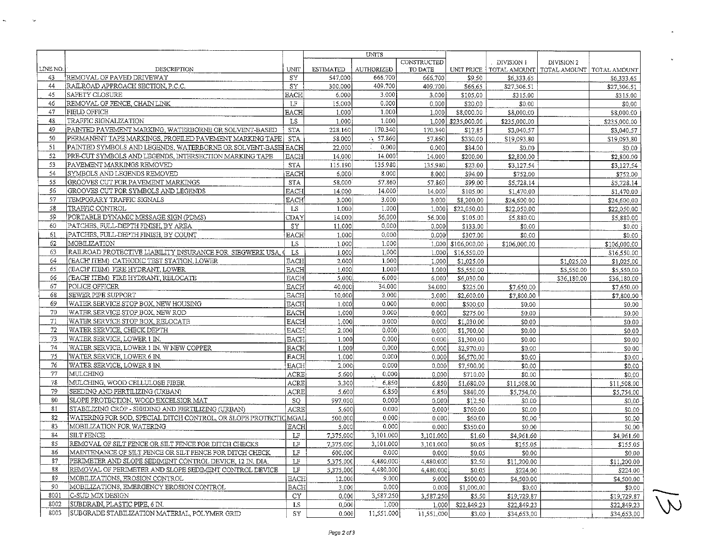|          |                                                                 |             |                  | <b>UNITS</b>         |             |                    |              |                             |              |
|----------|-----------------------------------------------------------------|-------------|------------------|----------------------|-------------|--------------------|--------------|-----------------------------|--------------|
|          |                                                                 |             |                  |                      | CONSTRUCTED |                    | DIVISION 1   | DIVISION 2                  |              |
| LINE NO. | <b>DESCRIPTION</b>                                              | UNIT        | <b>ESTIMATED</b> | AUTHORIZED           | TO DATE     | UNIT PRICE         | TOTAL AMOUNT | TOTAL AMOUNT   TOTAL AMOUNT |              |
| 43       | REMOVAL OF PAVED DRIVEWAY                                       | <b>SY</b>   | 547,000          | 666,700              | 666.700     | \$9.50             | \$6,333.65   |                             | \$6,333.65   |
| 44       | RAILROAD APPROACH SECTION, P.C.C.                               | SY          | 300.000          | 409.700              | 409.700     | \$66.65            | \$27,306.51  |                             | \$27,306.51  |
| 45       | <b>SAFETY CLOSURE</b>                                           | EACH        | 6.000            | 3.000                | 3.000       | \$105.00           | \$315.00     |                             | \$315.00     |
| 46       | REMOVAL OF FENCE, CHAIN LINK                                    | LF          | 15,000           | 0.000                | 0.000       | \$20.00            | \$0.00       |                             | \$0.00       |
| 47       | FIELD OFFICE                                                    | <b>EACH</b> | 1.000            | 1.000                | 1.000       | \$8,000.00         | \$8,000.00   |                             | \$8,000.00   |
| 48       | TRAFFIC SIGNALIZATION                                           | LS          | 1.000            | 1.000                | 1.000       | \$235,000.00       | \$235,000,00 |                             | \$235,000.00 |
| 49       | PAINTED PAVEMENT MARKING, WATERBORNE OR SOLVENT-BASED           | STA         | 228,160          | 170.340              | 170,340     | \$17.85            | \$3,040.57   |                             | \$3,040.57   |
| 50       | PERMANENT TAPE MARKINGS, PROFILED PAVEMENT MARKING TAPE         | <b>STA</b>  | 58.000           | $\frac{1}{2}$ 57.860 | 57,860      | \$330.00           | \$19,093.80  |                             | \$19,093.80  |
| 51       | PAINTED SYMBOLS AND LEGENDS, WATERBORNE OR SOLVENT-BASELEACH    |             | 22.000           | 0.000                | 0.000       | \$84.00            | \$0.00       |                             | \$0.00       |
| 52       | PRE-CUT SYMBOLS AND LEGENDS, INTERSECTION MARKING TAPE          | <b>EACH</b> | 14.000           | 14.000               | 14.000      | \$200.00           | \$2,800.00   |                             | \$2,800.00   |
| 53       | PAVEMENT MARKINGS REMOVED                                       | <b>STA</b>  | 115.190          | 135.980              | 135.980     | \$23.00            | \$3,127.54   |                             | \$3,127.54   |
| 54       | SYMBOLS AND LEGENDS REMOVED                                     | <b>EACH</b> | 6,000            | 8.000                | 8.000       | \$94.00            | \$752.00     |                             | \$752.00     |
| 55       | GROOVES CUT FOR PAVEMENT MARKINGS                               | <b>STA</b>  | 58.000           | 57.860               | 57.860      | \$99.00            | \$5,728.14   |                             | \$5,728.14   |
| 56       | GROOVES CUT FOR SYMBOLS AND LEGENDS                             | <b>EACH</b> | 14 000           | 14.000               | 14.000      | \$105.00           | \$1,470.00   |                             | \$1,470.00   |
| 57       | TEMPORARY TRAFFIC SIGNALS                                       | <b>EACH</b> | 3.000            | 3.000                | 3.000       | \$8,200.00         | \$24,600.00  |                             | \$24,600.00  |
| 58       | TRAFFIC CONTROL                                                 | LS          | 1,000            | 1.000                | 1,000       | \$22,050.00        | \$22,050.00  |                             | \$22,050,00  |
| 59       | PORTABLE DYNAMIC MESSAGE SIGN (PDMS)                            | CDAY        | 14.000           | 56,000               | 56.000      | \$105.00           | \$5,880.00   |                             | \$5,880.00   |
| 60       | PATCHES, FULL-DEPTH FINISH, BY AREA                             | <b>SY</b>   | 11.000           | 0.000                | 0.000       | \$133.00           | \$0.00       |                             | \$0.00       |
| 61       | PATCHES, FULL-DEPTH FINISH, BY COUNT                            | EACH        | 1.000            | 0.000                | 0.000       | \$307.00           | \$0,00       |                             | \$0.00       |
| 62       | MOBILIZATION                                                    | LS.         | 1.000            | 1.000                |             | 1,000 \$106,000.00 | \$106,000.00 |                             | \$106,000.00 |
| 63       | RAILROAD PROTECTIVE LIABILITY INSURANCE FOR SIEGWERK USA        | LS.         | 1.000            | 1.000                | 1.000       | \$16,550.00        |              |                             | \$16,550.00  |
| 64       | ('EACH' ITEM) CATHODIC TEST STATION, LOWER                      | <b>EACH</b> | 2.000            | 1.000                | 1.000       | \$1,025.00         |              | \$1,025.00                  | \$1,025.00   |
| 65       | ('EACH' ITEM) FIRE HYDRANT, LOWER                               | <b>EACH</b> | 1.000            | 1.000                | 1,000       | \$5,550.00         |              | \$5,550.00                  | \$5,550.00   |
| 66       | (EACH ITEM) FIRE HYDRANT, RELOCATE                              | <b>EACH</b> | 5.000            | 6.000                | 6.000       | \$6,030.00         |              | \$36,180.00                 | \$36,180.00  |
| 67       | POLICE OFFICER                                                  | <b>EACH</b> | 40.000           | 34.000               | 34,000      | \$225.00           | \$7,650.00   |                             | \$7,650.00   |
| 68       | <b>SEWER PIPE SUPPORT</b>                                       | EACH        | 10.000           | 3,000                | 3.000       | \$2,600.00         | \$7,800.00   |                             | \$7,800.00   |
| 69       | WATER SERVICE STOP BOX, NEW HOUSING                             | <b>EACH</b> | 1.000            | 0.000                | 0,000       | \$500.00           | \$0.00       |                             | \$0.00       |
| 70       | WATER SERVICE STOP BOX, NEW ROD                                 | <b>EACH</b> | 1,000            | 0.000                | 0.000       | \$275.00           | \$0.00       |                             | \$0.00       |
| 71       | WATER SERVICE STOP BOX, RELOCATE                                | <b>EACH</b> | 1.000            | 0.000                | 0.000       | \$1,030.00         | \$0.00       |                             | \$0.00       |
| 72       | WATER SERVICE, CHECK DEPTH                                      | EACH        | 2.000            | 0.000                | 0.000       | \$1,700.00         | \$0.00       |                             | \$0.00       |
| 73       | WATER SERVICE, LOWER 1 IN.                                      | <b>EACH</b> | 1.000            | 0.000                | 0,000       | \$1,300.00         | \$0.00       |                             | \$0.00       |
| 74       | WATER SERVICE, LOWER 1 IN. W NEW COPPER                         | EACH        | 1.000            | 0.000                | 0.000       | \$2,970.00         | \$0.00       |                             | \$0.00       |
| 75       | WATER SERVICE, LOWER 6 IN.                                      | <b>EACH</b> | 1.000            | 0.000                | 0.000       | \$6,570.00         | \$0.00       |                             | \$0.00       |
| 76       | WATER SERVICE, LOWER 8 IN.                                      | <b>EACH</b> | 2,000            | 0.000                | 0.000       | \$7,500.00         | \$0.00       |                             | \$0.00       |
| 77       | <b>MULCHING</b>                                                 | ACRE        | 5.600            | 0.000                | 0.000       | \$710.00           | \$0.00       |                             | \$0.00       |
| 78       | MULCHING, WOOD CELLULOSE FIBER                                  | <b>ACRE</b> | 3,300            | 6.850                | 6.850       | \$1,680.00         | \$11,508.00  |                             | \$11,508.00  |
| 79       | SEEDING AND FERTILIZING (URBAN)                                 | ACRE        | 5.600            | 6.850                | 6.850       | \$840.00           | \$5,754.00   |                             | \$5,754.00   |
| 80       | SLOPE PROTECTION, WOOD EXCELSIOR MAT                            | SQ.         | 997.000          | 0,000                | 0.000       | \$12.50            | \$0.00       |                             | \$0.00       |
| 81       | STABILIZING CROP - SEEDING AND FERTILIZING (URBAN)              | ACRE        | 5,600            | 0.000                | 0.000       | \$760.00           | \$0.00       |                             | \$0.00       |
| 82       | WATERING FOR SOD, SPECIAL DITCH CONTROL, OR SLOPE PROTECTICMGAL |             | 500.000          | 0.000                | 0.000       | \$60.00            | \$0.00       |                             | \$0.00       |
| 83       | MOBILIZATION FOR WATERING                                       | EACH        | 5.000            | 0.000                | 0.000       | \$350.00           | \$0.00       |                             | \$0.00       |
| 84       | SILT FENCE                                                      | LF          | 7,375,000        | 3,101.000            | 3,101.000   | \$1.60             | \$4,961.60   |                             | \$4,961.60   |
| 85       | REMOVAL OF SILT FENCE OR SILT FENCE FOR DITCH CHECKS            | $\rm LF$    | 7,375,000        | 3,101.000            | 3,101,000   | \$0.05             | \$155.05     |                             | \$155.05     |
| 86       | MAINTENANCE OF SILT FENCE OR SILT FENCE FOR DITCH CHECK         | LF          | 600.000          | 0.000                | 0.000       | \$0.05             | \$0.00       |                             | \$0.00       |
| 87       | PERIMETER AND SLOPE SEDIMENT CONTROL DEVICE, 12 IN. DIA.        | LF          | 5,375.000        | 4,480.000            | 4,480,000   | \$2.50             | \$11,200.00  |                             | \$11,200.00  |
| 88       | REMOVAL OF PERIMETER AND SLOPE SEDIMENT CONTROL DEVICE          | $\rm LF$    | 5,375.000        | 4,480.000            | 4,480.000   | \$0.05             | \$224.00     |                             | \$224.00     |
| 89       | MOBILIZATIONS, EROSION CONTROL                                  | EACH        | 12.000           | 9.000                | 9.000       | \$500.00           | \$4,500.00   |                             | \$4,500.00   |
| 90       | MOBILIZATIONS, EMERGENCY EROSION CONTROL                        | <b>EACH</b> | 3,000            | 0.000                | 0.000       | \$1,000.00         | \$0.00       |                             | \$0.00       |
| 8001     | C-SUD MIX DESIGN                                                | CY          | 0.000            | 3,587.250            | 3,587.250   | \$5.50             | \$19,729.87  |                             | \$19,729.87  |
| 8002     | SUBDRAIN, PLASTIC PIPE, 6 IN.                                   | LS          | 0,000            | 1,000                | 1.000       | \$22,849.23        | \$22,849.23  |                             | \$22,849.23  |
| 8003     | SUBGRADE STABILIZATION MATERIAL, POLYMER GRID                   | SY          | 0.000            | 11,551.000           | 11,551,000  | \$3.00             | \$34,653.00  |                             | \$34,653.00  |

 $\omega_{\rm{max}}$ 

 $\sim$ 

 $\widetilde{\nabla}$ 

 $\sim 10^7$